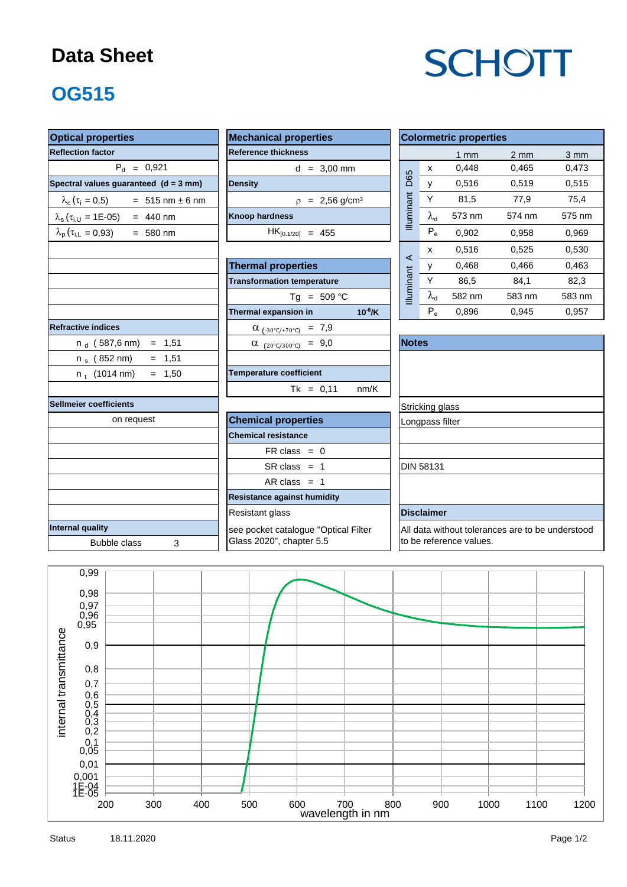### **Data Sheet**

# **SCHOTT**

# **OG515**

| <b>Optical properties</b>                                  |                                               |  |                                                  | <b>Colormetric properties</b> |        |                  |                  |  |  |  |  |
|------------------------------------------------------------|-----------------------------------------------|--|--------------------------------------------------|-------------------------------|--------|------------------|------------------|--|--|--|--|
| <b>Reflection factor</b>                                   | <b>Reference thickness</b>                    |  |                                                  |                               | $1$ mm | $2 \, \text{mm}$ | $3 \, \text{mm}$ |  |  |  |  |
| $P_{d} = 0.921$                                            | $d = 3,00$ mm                                 |  |                                                  | X                             | 0,448  | 0,465            | 0,473            |  |  |  |  |
| Spectral values guaranteed (d = 3 mm)                      | <b>Density</b>                                |  | D65                                              | V                             | 0,516  | 0,519            | 0,515            |  |  |  |  |
| $\lambda_c (\tau_i = 0.5)$ = 515 nm ± 6 nm                 | $p = 2,56$ g/cm <sup>3</sup>                  |  |                                                  | Y                             | 81,5   | 77,9             | 75,4             |  |  |  |  |
| $\lambda_s(\tau_{i,U} = 1E-05) = 440$ nm                   | <b>Knoop hardness</b>                         |  | Illuminant                                       | $\lambda_{\rm d}$             | 573 nm | 574 nm           | 575 nm           |  |  |  |  |
| $\lambda_{\rm p}$ ( $\tau_{\rm i,L}$ = 0,93)<br>$= 580$ nm | $HK_{[0.1/20]} = 455$                         |  |                                                  | $P_e$                         | 0,902  | 0,958            | 0,969            |  |  |  |  |
|                                                            |                                               |  |                                                  | x                             | 0,516  | 0,525            | 0,530            |  |  |  |  |
|                                                            | <b>Thermal properties</b>                     |  | $\prec$                                          | у                             | 0,468  | 0,466            | 0,463            |  |  |  |  |
|                                                            | <b>Transformation temperature</b>             |  |                                                  | Y                             | 86,5   | 84,1             | 82,3             |  |  |  |  |
|                                                            | $Tg = 509 °C$                                 |  | Illuminant                                       | $\lambda_{\sf d}$             | 582 nm | 583 nm           | 583 nm           |  |  |  |  |
|                                                            | Thermal expansion in<br>$10^{-6}$ /K          |  |                                                  | $P_e$                         | 0,896  | 0,945            | 0,957            |  |  |  |  |
| <b>Refractive indices</b>                                  | $\alpha$ <sub>(-30°C/+70°C)</sub> = 7,9       |  |                                                  |                               |        |                  |                  |  |  |  |  |
| n $_{\rm d}$ (587,6 nm)<br>$= 1,51$                        | $\alpha$ (20°C/300°C) = 9,0                   |  | <b>Notes</b>                                     |                               |        |                  |                  |  |  |  |  |
| $n_s$ (852 nm)<br>$= 1,51$                                 |                                               |  |                                                  |                               |        |                  |                  |  |  |  |  |
| $= 1,50$<br>$n_t$ (1014 nm)                                | <b>Temperature coefficient</b>                |  |                                                  |                               |        |                  |                  |  |  |  |  |
|                                                            | $Tk = 0,11$<br>nm/K                           |  |                                                  |                               |        |                  |                  |  |  |  |  |
| <b>Sellmeier coefficients</b>                              |                                               |  | Stricking glass                                  |                               |        |                  |                  |  |  |  |  |
| on request                                                 | <b>Chemical properties</b><br>Longpass filter |  |                                                  |                               |        |                  |                  |  |  |  |  |
|                                                            | <b>Chemical resistance</b>                    |  |                                                  |                               |        |                  |                  |  |  |  |  |
|                                                            | $FR \text{ class } = 0$                       |  |                                                  |                               |        |                  |                  |  |  |  |  |
|                                                            | $SR class = 1$                                |  | <b>DIN 58131</b>                                 |                               |        |                  |                  |  |  |  |  |
|                                                            | AR class $= 1$                                |  |                                                  |                               |        |                  |                  |  |  |  |  |
|                                                            | <b>Resistance against humidity</b>            |  |                                                  |                               |        |                  |                  |  |  |  |  |
|                                                            | Resistant glass                               |  |                                                  | <b>Disclaimer</b>             |        |                  |                  |  |  |  |  |
| <b>Internal quality</b>                                    | see pocket catalogue "Optical Filter          |  | All data without tolerances are to be understood |                               |        |                  |                  |  |  |  |  |
| <b>Bubble class</b><br>3                                   | Glass 2020", chapter 5.5                      |  | to be reference values.                          |                               |        |                  |                  |  |  |  |  |